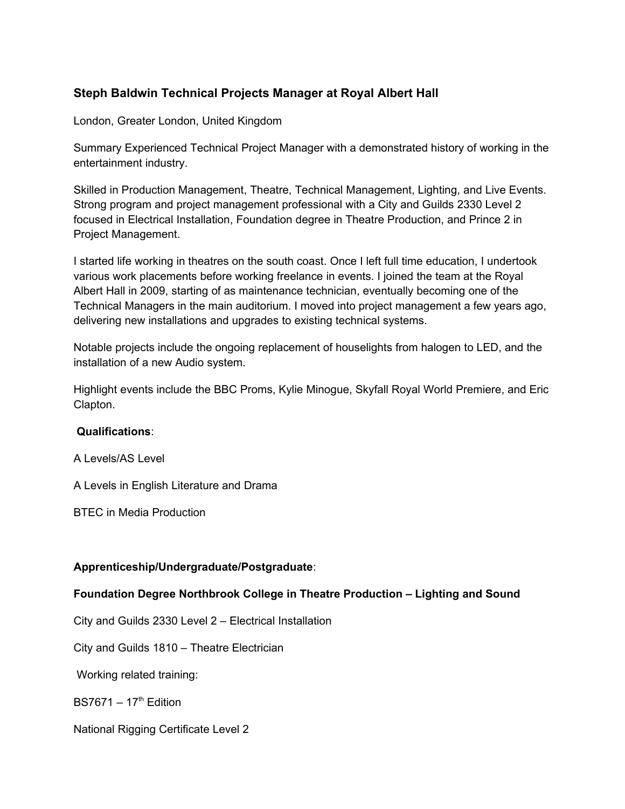# **Steph Baldwin Technical Projects Manager at Royal Albert Hall**

London, Greater London, United Kingdom

Summary Experienced Technical Project Manager with a demonstrated history of working in the entertainment industry.

Skilled in Production Management, Theatre, Technical Management, Lighting, and Live Events. Strong program and project management professional with a City and Guilds 2330 Level 2 focused in Electrical Installation, Foundation degree in Theatre Production, and Prince 2 in Project Management.

I started life working in theatres on the south coast. Once I left full time education, I undertook various work placements before working freelance in events. I joined the team at the Royal Albert Hall in 2009, starting of as maintenance technician, eventually becoming one of the Technical Managers in the main auditorium. I moved into project management a few years ago, delivering new installations and upgrades to existing technical systems.

Notable projects include the ongoing replacement of houselights from halogen to LED, and the installation of a new Audio system.

Highlight events include the BBC Proms, Kylie Minogue, Skyfall Royal World Premiere, and Eric Clapton.

## **Qualifications**:

A Levels/AS Level

A Levels in English Literature and Drama

BTEC in Media Production

## **Apprenticeship/Undergraduate/Postgraduate**:

## **Foundation Degree Northbrook College in Theatre Production – Lighting and Sound**

City and Guilds 2330 Level 2 – Electrical Installation

City and Guilds 1810 – Theatre Electrician

Working related training:

 $BS7671 - 17<sup>th</sup>$  Edition

National Rigging Certificate Level 2